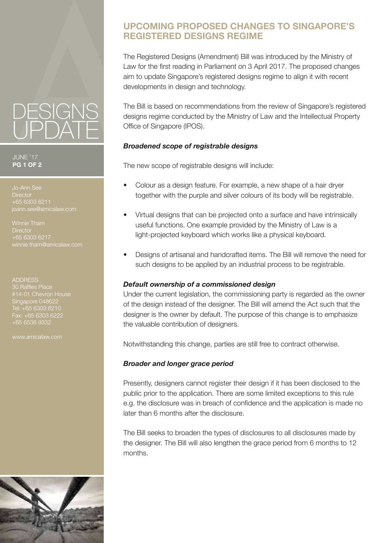# **UPCOMING PROPOSED CHANGES TO SINGAPORE'S REGISTERED DESIGNS REGIME**

The Registered Designs (Amendment) Bill was introduced by the Ministry of Law for the first reading in Parliament on 3 April 2017. The proposed changes aim to update Singapore's registered designs regime to align it with recent developments in design and technology.

The Bill is based on recommendations from the review of Singapore's registered designs regime conducted by the Ministry of Law and the Intellectual Property Office of Singapore (IPOS).

## *Broadened scope of registrable designs*

The new scope of registrable designs will include:

- Colour as a design feature. For example, a new shape of a hair dryer together with the purple and silver colours of its body will be registrable.
- Virtual designs that can be projected onto a surface and have intrinsically useful functions. One example provided by the Ministry of Law is a light-projected keyboard which works like a physical keyboard.
- Designs of artisanal and handcrafted items. The Bill will remove the need for such designs to be applied by an industrial process to be registrable.

## *Default ownership of a commissioned design*

Under the current legislation, the commissioning party is regarded as the owner of the design instead of the designer. The Bill will amend the Act such that the designer is the owner by default. The purpose of this change is to emphasize the valuable contribution of designers.

Notwithstanding this change, parties are still free to contract otherwise.

## *Broader and longer grace period*

Presently, designers cannot register their design if it has been disclosed to the public prior to the application. There are some limited exceptions to this rule e.g. the disclosure was in breach of confidence and the application is made no later than 6 months after the disclosure.

The Bill seeks to broaden the types of disclosures to all disclosures made by the designer. The Bill will also lengthen the grace period from 6 months to 12 months.



#### JUNE '17 **PG 1 OF 2**

**Director** +65 6303 6211

Winnie Tham **Director** +65 6303 6217 winnie.tham@amicalaw.com

#### ADDRESS

Singapore 048622 Fax: +65 6303 6222 +65 6536 9332